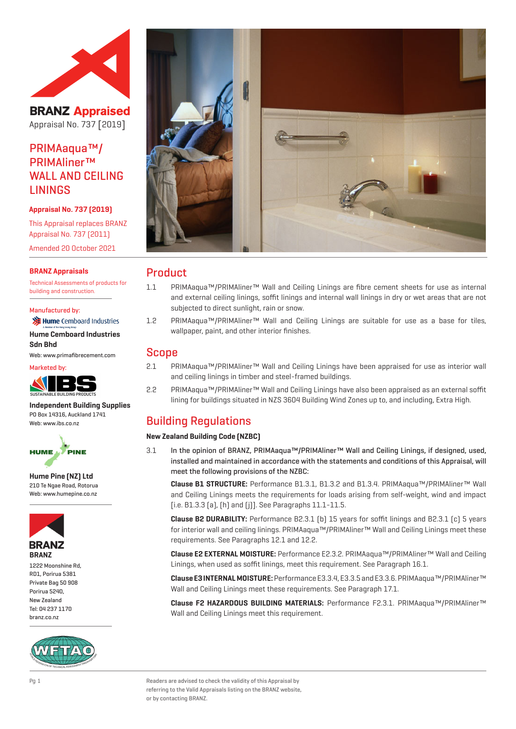

**BRANZ Appraised** Appraisal No. 737 [2019]

PRIMAaqua™/ PRIMAliner™ WALL AND CEILING LININGS

## **Appraisal No. 737 (2019)**

This Appraisal replaces BRANZ Appraisal No. 737 (2011) Amended 20 October 2021

## **BRANZ Appraisals**

Technical Assessments of products for building and construction.

#### Manufactured by:

**注 Hume** Cemboard Industries **Hume Cemboard Industries** 

**Sdn Bhd** Web: www.primafibrecement.com



**Independent Building Supplies** PO Box 14316, Auckland 1741 Web: www.ibs.co.nz



**Hume Pine (NZ) Ltd** 210 Te Ngae Road, Rotorua Web: www.humepine.co.nz



1222 Moonshine Rd, RD1, Porirua 5381 Private Bag 50 908 Porirua 5240, New Zealand Tel: 04 237 1170 branz.co.nz





## Product

- 1.1 PRIMAaqua™/PRIMAliner™ Wall and Ceiling Linings are fibre cement sheets for use as internal and external ceiling linings, soffit linings and internal wall linings in dry or wet areas that are not subjected to direct sunlight, rain or snow.
- 1.2 PRIMAaqua™/PRIMAliner™ Wall and Ceiling Linings are suitable for use as a base for tiles, wallpaper, paint, and other interior finishes.

## Scope

- 2.1 PRIMAaqua™/PRIMAliner™ Wall and Ceiling Linings have been appraised for use as interior wall and ceiling linings in timber and steel-framed buildings.
- 2.2 PRIMAaqua™/PRIMAliner™ Wall and Ceiling Linings have also been appraised as an external soffit lining for buildings situated in NZS 3604 Building Wind Zones up to, and including, Extra High.

# Building Regulations

## **New Zealand Building Code (NZBC)**

3.1 In the opinion of BRANZ, PRIMAaqua™/PRIMAliner™ Wall and Ceiling Linings, if designed, used, installed and maintained in accordance with the statements and conditions of this Appraisal, will meet the following provisions of the NZBC:

**Clause B1 STRUCTURE:** Performance B1.3.1, B1.3.2 and B1.3.4. PRIMAaqua™/PRIMAliner™ Wall and Ceiling Linings meets the requirements for loads arising from self-weight, wind and impact [i.e. B1.3.3 (a), (h) and (j)]. See Paragraphs 11.1-11.5.

**Clause B2 DURABILITY:** Performance B2.3.1 (b) 15 years for soffit linings and B2.3.1 (c) 5 years for interior wall and ceiling linings. PRIMAaqua™/PRIMAliner™ Wall and Ceiling Linings meet these requirements. See Paragraphs 12.1 and 12.2.

**Clause E2 EXTERNAL MOISTURE:** Performance E2.3.2. PRIMAaqua™/PRIMAliner™ Wall and Ceiling Linings, when used as soffit linings, meet this requirement. See Paragraph 16.1.

**Clause E3 INTERNAL MOISTURE:** Performance E3.3.4, E3.3.5 and E3.3.6. PRIMAaqua™/PRIMAliner™ Wall and Ceiling Linings meet these requirements. See Paragraph 17.1.

**Clause F2 HAZARDOUS BUILDING MATERIALS:** Performance F2.3.1. PRIMAaqua™/PRIMAliner™ Wall and Ceiling Linings meet this requirement.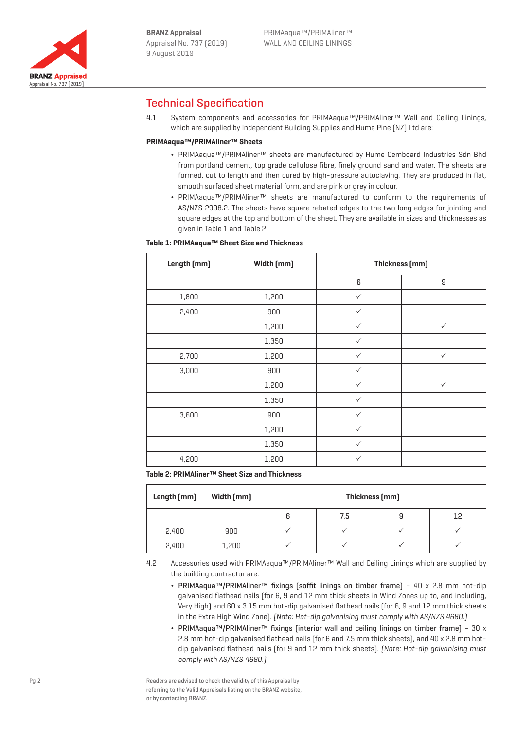

# Technical Specification

4.1 System components and accessories for PRIMAaqua™/PRIMAliner™ Wall and Ceiling Linings, which are supplied by Independent Building Supplies and Hume Pine [NZ] Ltd are:

## **PRIMAaqua™/PRIMAliner™ Sheets**

- ¬ PRIMAaqua™/PRIMAliner™ sheets are manufactured by Hume Cemboard Industries Sdn Bhd from portland cement, top grade cellulose fibre, finely ground sand and water. The sheets are formed, cut to length and then cured by high-pressure autoclaving. They are produced in flat, smooth surfaced sheet material form, and are pink or grey in colour.
- ¬ PRIMAaqua™/PRIMAliner™ sheets are manufactured to conform to the requirements of AS/NZS 2908.2. The sheets have square rebated edges to the two long edges for jointing and square edges at the top and bottom of the sheet. They are available in sizes and thicknesses as given in Table 1 and Table 2.

## **Table 1: PRIMAaqua™ Sheet Size and Thickness**

| Length [mm] | Width [mm] | Thickness [mm] |              |  |
|-------------|------------|----------------|--------------|--|
|             |            | 6              | 9            |  |
| 1,800       | 1,200      | $\checkmark$   |              |  |
| 2,400       | 900        | $\checkmark$   |              |  |
|             | 1,200      | $\checkmark$   | $\checkmark$ |  |
|             | 1,350      | $\checkmark$   |              |  |
| 2,700       | 1,200      | $\checkmark$   | $\checkmark$ |  |
| 3,000       | 900        | $\checkmark$   |              |  |
|             | 1,200      | $\checkmark$   | $\checkmark$ |  |
|             | 1,350      | $\checkmark$   |              |  |
| 3,600       | 900        | $\checkmark$   |              |  |
|             | 1,200      | $\checkmark$   |              |  |
|             | 1,350      | $\checkmark$   |              |  |
| 4,200       | 1,200      | $\checkmark$   |              |  |

**Table 2: PRIMAliner™ Sheet Size and Thickness**

| Length (mm) | Width [mm] | Thickness [mm] |     |   |    |  |
|-------------|------------|----------------|-----|---|----|--|
|             |            | 6              | 7.5 | У | 12 |  |
| 2,400       | 900        |                |     |   |    |  |
| 2,400       | 1,200      |                |     |   |    |  |

4.2 Accessories used with PRIMAaqua™/PRIMAliner™ Wall and Ceiling Linings which are supplied by the building contractor are:

- ¬ PRIMAaqua™/PRIMAliner™ fixings (soffit linings on timber frame) 40 x 2.8 mm hot-dip galvanised flathead nails (for 6, 9 and 12 mm thick sheets in Wind Zones up to, and including, Very High) and 60 x 3.15 mm hot-dip galvanised flathead nails (for 6, 9 and 12 mm thick sheets in the Extra High Wind Zone). (Note: Hot-dip galvanising must comply with AS/NZS 4680.)
- PRIMAaqua™/PRIMAliner™ fixings (interior wall and ceiling linings on timber frame) 30 x 2.8 mm hot-dip galvanised flathead nails (for 6 and 7.5 mm thick sheets), and 40 x 2.8 mm hotdip galvanised flathead nails (for 9 and 12 mm thick sheets). (Note: Hot-dip galvanising must comply with AS/NZS 4680.)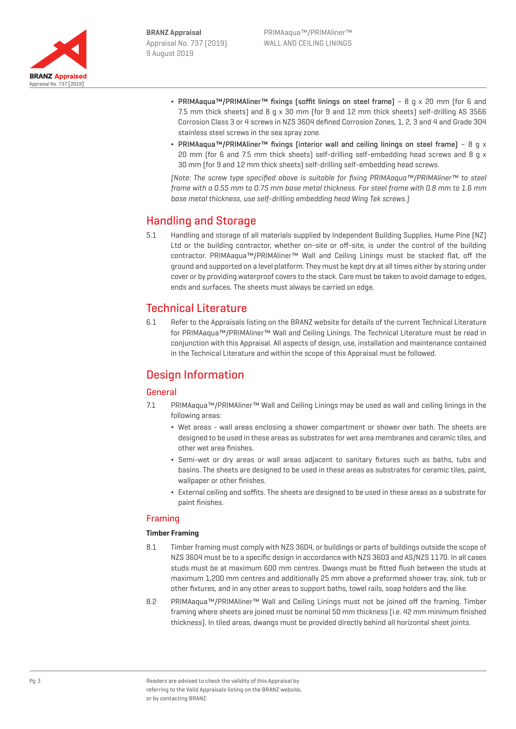

- ¬ PRIMAaqua™/PRIMAliner™ fixings (soffit linings on steel frame) 8 g x 20 mm (for 6 and 7.5 mm thick sheets) and 8 g x 30 mm (for 9 and 12 mm thick sheets) self-drilling AS 3566 Corrosion Class 3 or 4 screws in NZS 3604 defined Corrosion Zones, 1, 2, 3 and 4 and Grade 304 stainless steel screws in the sea spray zone.
- PRIMAaqua™/PRIMAliner™ fixings (interior wall and ceiling linings on steel frame) 8 q x 20 mm (for 6 and 7.5 mm thick sheets) self-drilling self-embedding head screws and 8 g  $\times$ 30 mm (for 9 and 12 mm thick sheets) self-drilling self-embedding head screws.

(Note: The screw type specified above is suitable for fixing PRIMAaqua™/PRIMAliner™ to steel frame with a 0.55 mm to 0.75 mm base metal thickness. For steel frame with 0.8 mm to 1.6 mm base metal thickness, use self-drilling embedding head Wing Tek screws.)

# Handling and Storage

5.1 Handling and storage of all materials supplied by Independent Building Supplies, Hume Pine (NZ) Ltd or the building contractor, whether on-site or off-site, is under the control of the building contractor. PRIMAaqua™/PRIMAliner™ Wall and Ceiling Linings must be stacked flat, off the ground and supported on a level platform. They must be kept dry at all times either by storing under cover or by providing waterproof covers to the stack. Care must be taken to avoid damage to edges, ends and surfaces. The sheets must always be carried on edge.

# Technical Literature

6.1 Refer to the Appraisals listing on the BRANZ website for details of the current Technical Literature for PRIMAaqua™/PRIMAliner™ Wall and Ceiling Linings. The Technical Literature must be read in conjunction with this Appraisal. All aspects of design, use, installation and maintenance contained in the Technical Literature and within the scope of this Appraisal must be followed.

# Design Information

## General

- 7.1 PRIMAaqua™/PRIMAliner™ Wall and Ceiling Linings may be used as wall and ceiling linings in the following areas:
	- ¬ Wet areas wall areas enclosing a shower compartment or shower over bath. The sheets are designed to be used in these areas as substrates for wet area membranes and ceramic tiles, and other wet area finishes.
	- ¬ Semi-wet or dry areas or wall areas adjacent to sanitary fixtures such as baths, tubs and basins. The sheets are designed to be used in these areas as substrates for ceramic tiles, paint, wallpaper or other finishes.
	- ¬ External ceiling and soffits. The sheets are designed to be used in these areas as a substrate for paint finishes.

## Framing

## **Timber Framing**

- 8.1 Timber framing must comply with NZS 3604, or buildings or parts of buildings outside the scope of NZS 3604 must be to a specific design in accordance with NZS 3603 and AS/NZS 1170. In all cases studs must be at maximum 600 mm centres. Dwangs must be fitted flush between the studs at maximum 1,200 mm centres and additionally 25 mm above a preformed shower tray, sink, tub or other fixtures, and in any other areas to support baths, towel rails, soap holders and the like.
- 8.2 PRIMAaqua™/PRIMAliner™ Wall and Ceiling Linings must not be joined off the framing. Timber framing where sheets are joined must be nominal 50 mm thickness (i.e. 42 mm minimum finished thickness). In tiled areas, dwangs must be provided directly behind all horizontal sheet joints.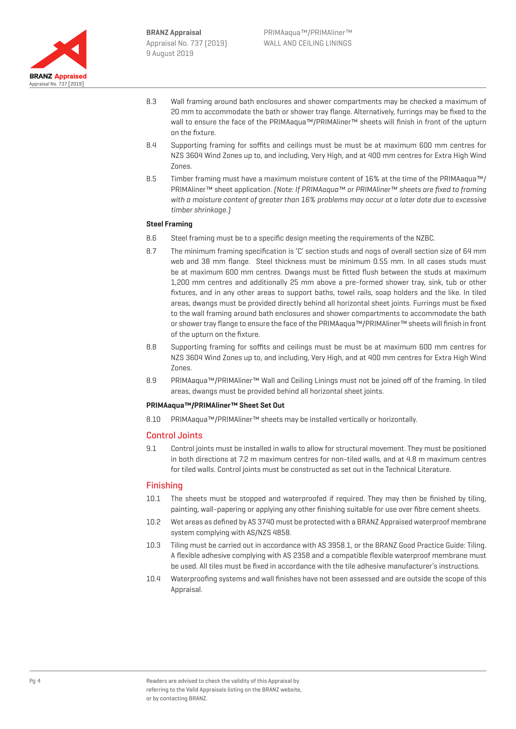

- 8.3 Wall framing around bath enclosures and shower compartments may be checked a maximum of 20 mm to accommodate the bath or shower tray flange. Alternatively, furrings may be fixed to the wall to ensure the face of the PRIMAaqua™/PRIMAliner™ sheets will finish in front of the upturn on the fixture.
- 8.4 Supporting framing for soffits and ceilings must be must be at maximum 600 mm centres for NZS 3604 Wind Zones up to, and including, Very High, and at 400 mm centres for Extra High Wind Zones.
- 8.5 Timber framing must have a maximum moisture content of 16% at the time of the PRIMAaqua™/ PRIMAliner™ sheet application. (Note: If PRIMAaqua™ or PRIMAliner™ sheets are fixed to framing with a moisture content of greater than 16% problems may occur at a later date due to excessive timber shrinkage.)

## **Steel Framing**

- 8.6 Steel framing must be to a specific design meeting the requirements of the NZBC.
- 8.7 The minimum framing specification is 'C' section studs and nogs of overall section size of 64 mm web and 38 mm flange. Steel thickness must be minimum 0.55 mm. In all cases studs must be at maximum 600 mm centres. Dwangs must be fitted flush between the studs at maximum 1,200 mm centres and additionally 25 mm above a pre-formed shower tray, sink, tub or other fixtures, and in any other areas to support baths, towel rails, soap holders and the like. In tiled areas, dwangs must be provided directly behind all horizontal sheet joints. Furrings must be fixed to the wall framing around bath enclosures and shower compartments to accommodate the bath or shower tray flange to ensure the face of the PRIMAaqua™/PRIMAliner™ sheets will finish in front of the upturn on the fixture.
- 8.8 Supporting framing for soffits and ceilings must be must be at maximum 600 mm centres for NZS 3604 Wind Zones up to, and including, Very High, and at 400 mm centres for Extra High Wind Zones.
- 8.9 PRIMAaqua™/PRIMAliner™ Wall and Ceiling Linings must not be joined off of the framing. In tiled areas, dwangs must be provided behind all horizontal sheet joints.

## **PRIMAaqua™/PRIMAliner™ Sheet Set Out**

8.10 PRIMAaqua™/PRIMAliner™ sheets may be installed vertically or horizontally.

## Control Joints

9.1 Control joints must be installed in walls to allow for structural movement. They must be positioned in both directions at 7.2 m maximum centres for non-tiled walls, and at 4.8 m maximum centres for tiled walls. Control joints must be constructed as set out in the Technical Literature.

## Finishing

- 10.1 The sheets must be stopped and waterproofed if required. They may then be finished by tiling, painting, wall-papering or applying any other finishing suitable for use over fibre cement sheets.
- 10.2 Wet areas as defined by AS 3740 must be protected with a BRANZ Appraised waterproof membrane system complying with AS/NZS 4858.
- 10.3 Tiling must be carried out in accordance with AS 3958.1, or the BRANZ Good Practice Guide: Tiling. A flexible adhesive complying with AS 2358 and a compatible flexible waterproof membrane must be used. All tiles must be fixed in accordance with the tile adhesive manufacturer's instructions.
- 10.4 Waterproofing systems and wall finishes have not been assessed and are outside the scope of this Appraisal.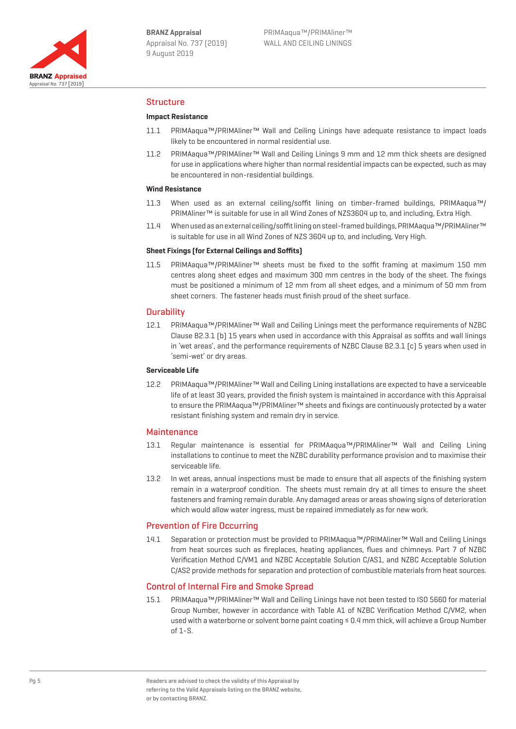

## Structure

## **Impact Resistance**

- 11.1 PRIMAaqua™/PRIMAliner™ Wall and Ceiling Linings have adequate resistance to impact loads likely to be encountered in normal residential use.
- 11.2 PRIMAaqua™/PRIMAliner™ Wall and Ceiling Linings 9 mm and 12 mm thick sheets are designed for use in applications where higher than normal residential impacts can be expected, such as may be encountered in non-residential buildings.

## **Wind Resistance**

- 11.3 When used as an external ceiling/soffit lining on timber-framed buildings, PRIMAaqua™/ PRIMAliner™ is suitable for use in all Wind Zones of NZS3604 up to, and including, Extra High.
- 11.4 When used as an external ceiling/soffit lining on steel-framed buildings, PRIMAaqua™/PRIMAliner™ is suitable for use in all Wind Zones of NZS 3604 up to, and including, Very High.

## **Sheet Fixings (for External Ceilings and Soffits)**

11.5 PRIMAaqua™/PRIMAliner™ sheets must be fixed to the soffit framing at maximum 150 mm centres along sheet edges and maximum 300 mm centres in the body of the sheet. The fixings must be positioned a minimum of 12 mm from all sheet edges, and a minimum of 50 mm from sheet corners. The fastener heads must finish proud of the sheet surface.

## **Durability**

12.1 PRIMAaqua™/PRIMAliner™ Wall and Ceiling Linings meet the performance requirements of NZBC Clause B2.3.1 (b) 15 years when used in accordance with this Appraisal as soffits and wall linings in 'wet areas', and the performance requirements of NZBC Clause B2.3.1 (c) 5 years when used in 'semi-wet' or dry areas.

#### **Serviceable Life**

12.2 PRIMAaqua™/PRIMAliner™ Wall and Ceiling Lining installations are expected to have a serviceable life of at least 30 years, provided the finish system is maintained in accordance with this Appraisal to ensure the PRIMAaqua™/PRIMAliner™ sheets and fixings are continuously protected by a water resistant finishing system and remain dry in service.

## **Maintenance**

- 13.1 Regular maintenance is essential for PRIMAaqua™/PRIMAliner™ Wall and Ceiling Lining installations to continue to meet the NZBC durability performance provision and to maximise their serviceable life.
- 13.2 In wet areas, annual inspections must be made to ensure that all aspects of the finishing system remain in a waterproof condition. The sheets must remain dry at all times to ensure the sheet fasteners and framing remain durable. Any damaged areas or areas showing signs of deterioration which would allow water ingress, must be repaired immediately as for new work.

## Prevention of Fire Occurring

14.1 Separation or protection must be provided to PRIMAaqua™/PRIMAliner™ Wall and Ceiling Linings from heat sources such as fireplaces, heating appliances, flues and chimneys. Part 7 of NZBC Verification Method C/VM1 and NZBC Acceptable Solution C/AS1, and NZBC Acceptable Solution C/AS2 provide methods for separation and protection of combustible materials from heat sources.

## Control of Internal Fire and Smoke Spread

15.1 PRIMAaqua™/PRIMAliner™ Wall and Ceiling Linings have not been tested to ISO 5660 for material Group Number, however in accordance with Table A1 of NZBC Verification Method C/VM2, when used with a waterborne or solvent borne paint coating ≤ 0.4 mm thick, will achieve a Group Number of 1-S.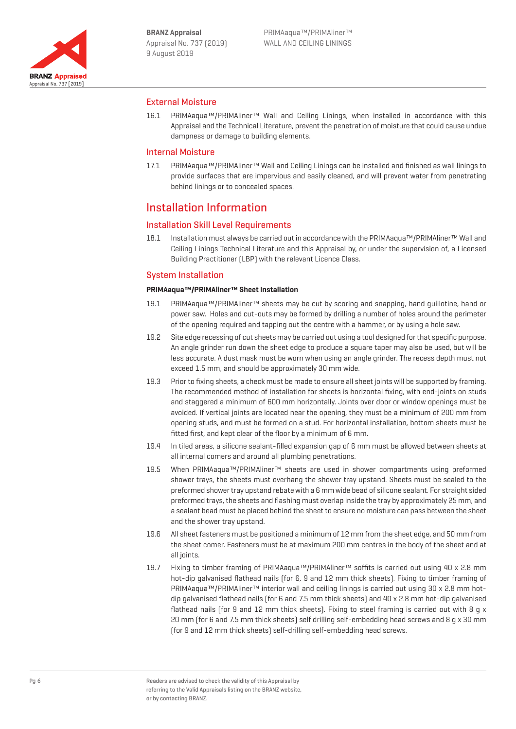

## External Moisture

16.1 PRIMAaqua™/PRIMAliner™ Wall and Ceiling Linings, when installed in accordance with this Appraisal and the Technical Literature, prevent the penetration of moisture that could cause undue dampness or damage to building elements.

## Internal Moisture

17.1 PRIMAaqua™/PRIMAliner™ Wall and Ceiling Linings can be installed and finished as wall linings to provide surfaces that are impervious and easily cleaned, and will prevent water from penetrating behind linings or to concealed spaces.

## Installation Information

## Installation Skill Level Requirements

18.1 Installation must always be carried out in accordance with the PRIMAaqua™/PRIMAliner™ Wall and Ceiling Linings Technical Literature and this Appraisal by, or under the supervision of, a Licensed Building Practitioner (LBP) with the relevant Licence Class.

## System Installation

## **PRIMAaqua™/PRIMAliner™ Sheet Installation**

- 19.1 PRIMAaqua™/PRIMAliner™ sheets may be cut by scoring and snapping, hand guillotine, hand or power saw. Holes and cut-outs may be formed by drilling a number of holes around the perimeter of the opening required and tapping out the centre with a hammer, or by using a hole saw.
- 19.2 Site edge recessing of cut sheets may be carried out using a tool designed for that specific purpose. An angle grinder run down the sheet edge to produce a square taper may also be used, but will be less accurate. A dust mask must be worn when using an angle grinder. The recess depth must not exceed 1.5 mm, and should be approximately 30 mm wide.
- 19.3 Prior to fixing sheets, a check must be made to ensure all sheet joints will be supported by framing. The recommended method of installation for sheets is horizontal fixing, with end-joints on studs and staggered a minimum of 600 mm horizontally. Joints over door or window openings must be avoided. If vertical joints are located near the opening, they must be a minimum of 200 mm from opening studs, and must be formed on a stud. For horizontal installation, bottom sheets must be fitted first, and kept clear of the floor by a minimum of 6 mm.
- 19.4 In tiled areas, a silicone sealant-filled expansion gap of 6 mm must be allowed between sheets at all internal comers and around all plumbing penetrations.
- 19.5 When PRIMAaqua™/PRIMAliner™ sheets are used in shower compartments using preformed shower trays, the sheets must overhang the shower tray upstand. Sheets must be sealed to the preformed shower tray upstand rebate with a 6 mm wide bead of silicone sealant. For straight sided preformed trays, the sheets and flashing must overlap inside the tray by approximately 25 mm, and a sealant bead must be placed behind the sheet to ensure no moisture can pass between the sheet and the shower tray upstand.
- 19.6 All sheet fasteners must be positioned a minimum of 12 mm from the sheet edge, and 50 mm from the sheet comer. Fasteners must be at maximum 200 mm centres in the body of the sheet and at all joints.
- 19.7 Fixing to timber framing of PRIMAaqua™/PRIMAliner™ soffits is carried out using 40 x 2.8 mm hot-dip galvanised flathead nails (for 6, 9 and 12 mm thick sheets). Fixing to timber framing of PRIMAaqua™/PRIMAliner™ interior wall and ceiling linings is carried out using 30 x 2.8 mm hotdip galvanised flathead nails (for 6 and 7.5 mm thick sheets) and 40 x 2.8 mm hot-dip galvanised flathead nails (for 9 and 12 mm thick sheets). Fixing to steel framing is carried out with 8 q x 20 mm (for 6 and 7.5 mm thick sheets) self drilling self-embedding head screws and 8 g x 30 mm (for 9 and 12 mm thick sheets) self-drilling self-embedding head screws.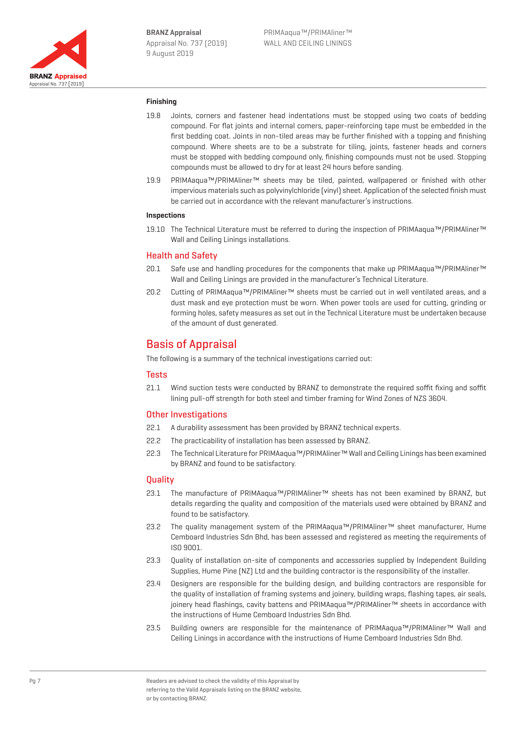

## **Finishing**

- 19.8 Joints, corners and fastener head indentations must be stopped using two coats of bedding compound. For flat joints and internal comers, paper-reinforcing tape must be embedded in the first bedding coat. Joints in non-tiled areas may be further finished with a topping and finishing compound. Where sheets are to be a substrate for tiling, joints, fastener heads and corners must be stopped with bedding compound only, finishing compounds must not be used. Stopping compounds must be allowed to dry for at least 24 hours before sanding.
- 19.9 PRIMAaqua™/PRIMAliner™ sheets may be tiled, painted, wallpapered or finished with other impervious materials such as polyvinylchloride (vinyl) sheet. Application of the selected finish must be carried out in accordance with the relevant manufacturer's instructions.

## **Inspections**

19.10 The Technical Literature must be referred to during the inspection of PRIMAaqua™/PRIMAliner™ Wall and Ceiling Linings installations.

## Health and Safety

- 20.1 Safe use and handling procedures for the components that make up PRIMAaqua™/PRIMAliner™ Wall and Ceiling Linings are provided in the manufacturer's Technical Literature.
- 20.2 Cutting of PRIMAaqua™/PRIMAliner™ sheets must be carried out in well ventilated areas, and a dust mask and eye protection must be worn. When power tools are used for cutting, grinding or forming holes, safety measures as set out in the Technical Literature must be undertaken because of the amount of dust generated.

## Basis of Appraisal

The following is a summary of the technical investigations carried out:

## **Tests**

21.1 Wind suction tests were conducted by BRANZ to demonstrate the required soffit fixing and soffit lining pull-off strength for both steel and timber framing for Wind Zones of NZS 3604.

## Other Investigations

- 22.1 A durability assessment has been provided by BRANZ technical experts.
- 22.2 The practicability of installation has been assessed by BRANZ.
- 22.3 The Technical Literature for PRIMAaqua™/PRIMAliner™ Wall and Ceiling Linings has been examined by BRANZ and found to be satisfactory.

## **Quality**

- 23.1 The manufacture of PRIMAaqua™/PRIMAliner™ sheets has not been examined by BRANZ, but details regarding the quality and composition of the materials used were obtained by BRANZ and found to be satisfactory.
- 23.2 The quality management system of the PRIMAaqua™/PRIMAliner™ sheet manufacturer, Hume Cemboard Industries Sdn Bhd, has been assessed and registered as meeting the requirements of ISO 9001.
- 23.3 Quality of installation on-site of components and accessories supplied by Independent Building Supplies, Hume Pine (NZ) Ltd and the building contractor is the responsibility of the installer.
- 23.4 Designers are responsible for the building design, and building contractors are responsible for the quality of installation of framing systems and joinery, building wraps, flashing tapes, air seals, joinery head flashings, cavity battens and PRIMAaqua™/PRIMAliner™ sheets in accordance with the instructions of Hume Cemboard Industries Sdn Bhd.
- 23.5 Building owners are responsible for the maintenance of PRIMAaqua™/PRIMAliner™ Wall and Ceiling Linings in accordance with the instructions of Hume Cemboard Industries Sdn Bhd.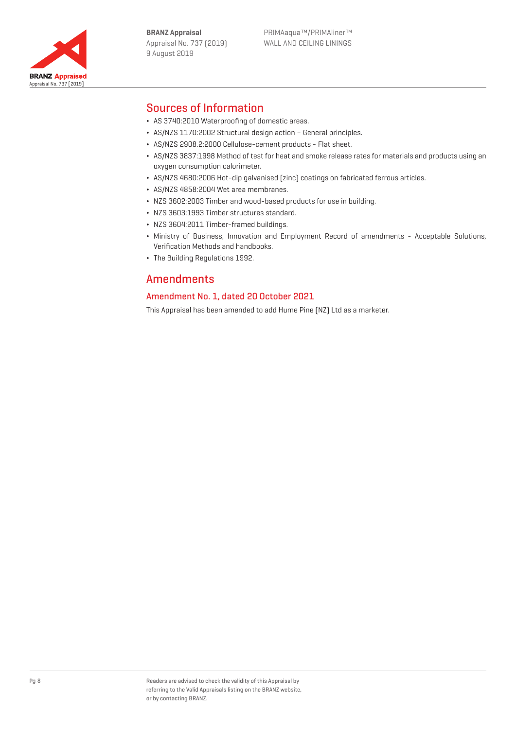



# Sources of Information

- ¬ AS 3740:2010 Waterproofing of domestic areas.
- ¬ AS/NZS 1170:2002 Structural design action General principles.
- ¬ AS/NZS 2908.2:2000 Cellulose-cement products Flat sheet.
- ¬ AS/NZS 3837:1998 Method of test for heat and smoke release rates for materials and products using an oxygen consumption calorimeter.
- ¬ AS/NZS 4680:2006 Hot-dip galvanised (zinc) coatings on fabricated ferrous articles.
- ¬ AS/NZS 4858:2004 Wet area membranes.
- ¬ NZS 3602:2003 Timber and wood-based products for use in building.
- ¬ NZS 3603:1993 Timber structures standard.
- ¬ NZS 3604:2011 Timber-framed buildings.
- ¬ Ministry of Business, Innovation and Employment Record of amendments Acceptable Solutions, Verification Methods and handbooks.
- ¬ The Building Regulations 1992.

## Amendments

## Amendment No. 1, dated 20 October 2021

This Appraisal has been amended to add Hume Pine (NZ) Ltd as a marketer.